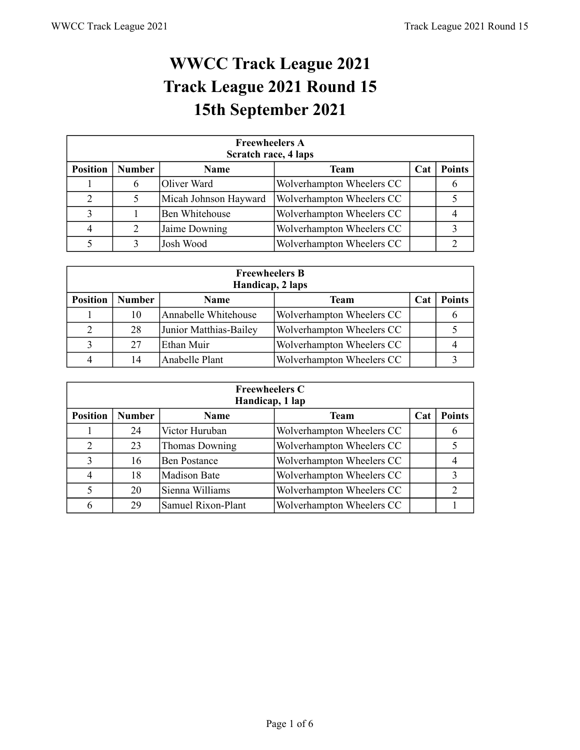## **WWCC Track League 2021 Track League 2021 Round 15 15th September 2021**

|                 | <b>Freewheelers A</b><br>Scratch race, 4 laps |                       |                           |     |               |  |  |  |  |  |
|-----------------|-----------------------------------------------|-----------------------|---------------------------|-----|---------------|--|--|--|--|--|
| <b>Position</b> | <b>Number</b>                                 | Name                  | Team                      | Cat | <b>Points</b> |  |  |  |  |  |
|                 | 6                                             | Oliver Ward           | Wolverhampton Wheelers CC |     |               |  |  |  |  |  |
| 2               | 5                                             | Micah Johnson Hayward | Wolverhampton Wheelers CC |     |               |  |  |  |  |  |
|                 |                                               | <b>Ben Whitehouse</b> | Wolverhampton Wheelers CC |     |               |  |  |  |  |  |
| 4               | 2                                             | Jaime Downing         | Wolverhampton Wheelers CC |     |               |  |  |  |  |  |
|                 | 3                                             | Josh Wood             | Wolverhampton Wheelers CC |     |               |  |  |  |  |  |

|                 | <b>Freewheelers B</b><br>Handicap, 2 laps |                        |                           |            |               |  |  |  |  |  |
|-----------------|-------------------------------------------|------------------------|---------------------------|------------|---------------|--|--|--|--|--|
| <b>Position</b> | <b>Number</b>                             | Name                   | <b>Team</b>               | <b>Cat</b> | <b>Points</b> |  |  |  |  |  |
|                 | 10                                        | Annabelle Whitehouse   | Wolverhampton Wheelers CC |            |               |  |  |  |  |  |
| 2               | 28                                        | Junior Matthias-Bailey | Wolverhampton Wheelers CC |            |               |  |  |  |  |  |
| 3               | 27                                        | Ethan Muir             | Wolverhampton Wheelers CC |            |               |  |  |  |  |  |
|                 | 14                                        | Anabelle Plant         | Wolverhampton Wheelers CC |            |               |  |  |  |  |  |

|                 | <b>Freewheelers C</b><br>Handicap, 1 lap |                     |                           |     |                |  |  |  |  |  |
|-----------------|------------------------------------------|---------------------|---------------------------|-----|----------------|--|--|--|--|--|
| <b>Position</b> | <b>Number</b>                            | <b>Name</b>         | Team                      | Cat | <b>Points</b>  |  |  |  |  |  |
|                 | 24                                       | Victor Huruban      | Wolverhampton Wheelers CC |     |                |  |  |  |  |  |
| $\overline{2}$  | 23                                       | Thomas Downing      | Wolverhampton Wheelers CC |     |                |  |  |  |  |  |
| 3               | 16                                       | <b>Ben Postance</b> | Wolverhampton Wheelers CC |     |                |  |  |  |  |  |
| 4               | 18                                       | <b>Madison Bate</b> | Wolverhampton Wheelers CC |     |                |  |  |  |  |  |
| 5               | 20                                       | Sienna Williams     | Wolverhampton Wheelers CC |     | $\overline{2}$ |  |  |  |  |  |
| 6               | 29                                       | Samuel Rixon-Plant  | Wolverhampton Wheelers CC |     |                |  |  |  |  |  |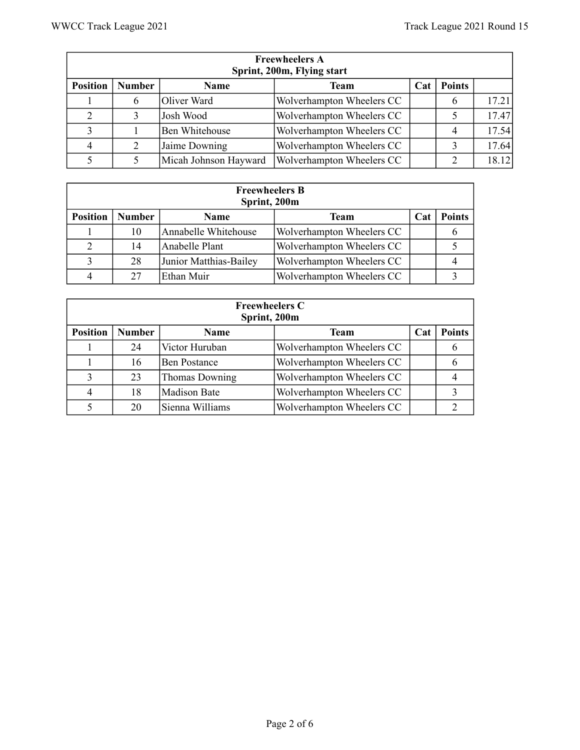|                 | <b>Freewheelers A</b><br>Sprint, 200m, Flying start |                       |                           |     |                |       |  |  |  |
|-----------------|-----------------------------------------------------|-----------------------|---------------------------|-----|----------------|-------|--|--|--|
| <b>Position</b> | <b>Number</b>                                       | Name                  | <b>Team</b>               | Cat | <b>Points</b>  |       |  |  |  |
|                 | 6                                                   | Oliver Ward           | Wolverhampton Wheelers CC |     | 6              | 17.21 |  |  |  |
| 2               |                                                     | Josh Wood             | Wolverhampton Wheelers CC |     |                | 17.47 |  |  |  |
|                 |                                                     | <b>Ben Whitehouse</b> | Wolverhampton Wheelers CC |     | $\overline{4}$ | 17.54 |  |  |  |
| $\overline{4}$  |                                                     | Jaime Downing         | Wolverhampton Wheelers CC |     |                | 17.64 |  |  |  |
|                 |                                                     | Micah Johnson Hayward | Wolverhampton Wheelers CC |     | $\mathcal{D}$  | 18.12 |  |  |  |

| <b>Freewheelers B</b><br>Sprint, 200m |               |                        |                           |     |               |  |  |  |  |
|---------------------------------------|---------------|------------------------|---------------------------|-----|---------------|--|--|--|--|
| <b>Position</b>                       | <b>Number</b> | <b>Name</b>            | <b>Team</b>               | Cat | <b>Points</b> |  |  |  |  |
|                                       | 10            | Annabelle Whitehouse   | Wolverhampton Wheelers CC |     |               |  |  |  |  |
|                                       | 14            | Anabelle Plant         | Wolverhampton Wheelers CC |     |               |  |  |  |  |
| 3                                     | 28            | Junior Matthias-Bailey | Wolverhampton Wheelers CC |     |               |  |  |  |  |
|                                       | 27            | Ethan Muir             | Wolverhampton Wheelers CC |     |               |  |  |  |  |

| <b>Freewheelers C</b><br>Sprint, 200m |               |                     |                           |     |               |  |  |  |  |
|---------------------------------------|---------------|---------------------|---------------------------|-----|---------------|--|--|--|--|
| <b>Position</b>                       | <b>Number</b> | Name                | Team                      | Cat | <b>Points</b> |  |  |  |  |
|                                       | 24            | Victor Huruban      | Wolverhampton Wheelers CC |     |               |  |  |  |  |
|                                       | 16            | <b>Ben Postance</b> | Wolverhampton Wheelers CC |     |               |  |  |  |  |
| 3                                     | 23            | Thomas Downing      | Wolverhampton Wheelers CC |     |               |  |  |  |  |
| 4                                     | 18            | Madison Bate        | Wolverhampton Wheelers CC |     |               |  |  |  |  |
|                                       | 20            | Sienna Williams     | Wolverhampton Wheelers CC |     |               |  |  |  |  |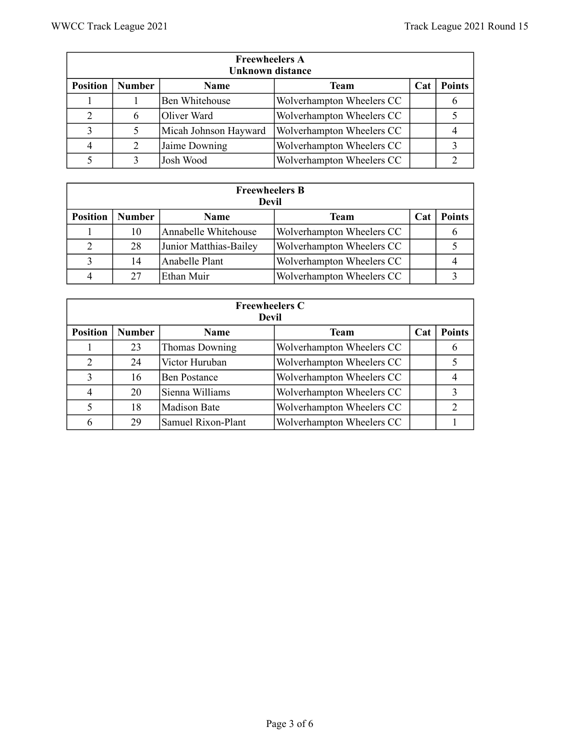|                 | <b>Freewheelers A</b><br><b>Unknown distance</b> |                       |                           |     |               |  |  |  |  |  |
|-----------------|--------------------------------------------------|-----------------------|---------------------------|-----|---------------|--|--|--|--|--|
| <b>Position</b> | <b>Number</b>                                    | <b>Name</b>           | Team                      | Cat | <b>Points</b> |  |  |  |  |  |
|                 |                                                  | <b>Ben Whitehouse</b> | Wolverhampton Wheelers CC |     |               |  |  |  |  |  |
| 2               | 6                                                | Oliver Ward           | Wolverhampton Wheelers CC |     |               |  |  |  |  |  |
| 3               |                                                  | Micah Johnson Hayward | Wolverhampton Wheelers CC |     |               |  |  |  |  |  |
| 4               | 2                                                | Jaime Downing         | Wolverhampton Wheelers CC |     |               |  |  |  |  |  |
|                 | 3                                                | Josh Wood             | Wolverhampton Wheelers CC |     |               |  |  |  |  |  |

|                 | <b>Freewheelers B</b><br>Devil |                        |                           |     |               |  |  |  |  |  |
|-----------------|--------------------------------|------------------------|---------------------------|-----|---------------|--|--|--|--|--|
| <b>Position</b> | <b>Number</b>                  | <b>Name</b>            | <b>Team</b>               | Cat | <b>Points</b> |  |  |  |  |  |
|                 | 10                             | Annabelle Whitehouse   | Wolverhampton Wheelers CC |     |               |  |  |  |  |  |
|                 | 28                             | Junior Matthias-Bailey | Wolverhampton Wheelers CC |     |               |  |  |  |  |  |
|                 | 14                             | Anabelle Plant         | Wolverhampton Wheelers CC |     |               |  |  |  |  |  |
|                 | 27                             | Ethan Muir             | Wolverhampton Wheelers CC |     |               |  |  |  |  |  |

| <b>Freewheelers C</b><br>Devil |               |                     |                           |     |               |  |  |  |  |
|--------------------------------|---------------|---------------------|---------------------------|-----|---------------|--|--|--|--|
| <b>Position</b>                | <b>Number</b> | <b>Name</b>         | Team                      | Cat | <b>Points</b> |  |  |  |  |
|                                | 23            | Thomas Downing      | Wolverhampton Wheelers CC |     | O             |  |  |  |  |
| 2                              | 24            | Victor Huruban      | Wolverhampton Wheelers CC |     |               |  |  |  |  |
| 3                              | 16            | <b>Ben Postance</b> | Wolverhampton Wheelers CC |     |               |  |  |  |  |
| 4                              | 20            | Sienna Williams     | Wolverhampton Wheelers CC |     | 3             |  |  |  |  |
| 5                              | 18            | Madison Bate        | Wolverhampton Wheelers CC |     | $\mathcal{D}$ |  |  |  |  |
| 6                              | 29            | Samuel Rixon-Plant  | Wolverhampton Wheelers CC |     |               |  |  |  |  |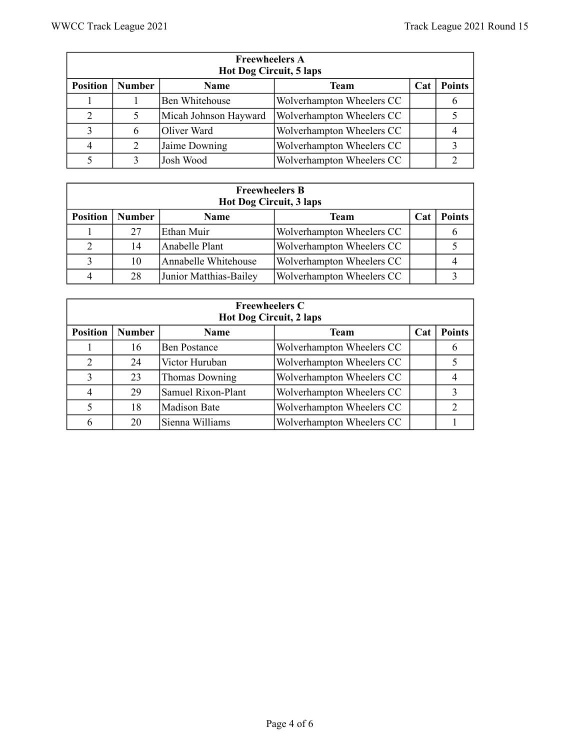| <b>Freewheelers A</b><br><b>Hot Dog Circuit, 5 laps</b> |               |                       |                           |     |               |  |  |  |  |
|---------------------------------------------------------|---------------|-----------------------|---------------------------|-----|---------------|--|--|--|--|
| <b>Position</b>                                         | <b>Number</b> | <b>Name</b>           | <b>Team</b>               | Cat | <b>Points</b> |  |  |  |  |
|                                                         |               | <b>Ben Whitehouse</b> | Wolverhampton Wheelers CC |     |               |  |  |  |  |
| 2                                                       | 5             | Micah Johnson Hayward | Wolverhampton Wheelers CC |     |               |  |  |  |  |
|                                                         | 6             | Oliver Ward           | Wolverhampton Wheelers CC |     |               |  |  |  |  |
| 4                                                       | 2             | Jaime Downing         | Wolverhampton Wheelers CC |     |               |  |  |  |  |
|                                                         | 3             | Josh Wood             | Wolverhampton Wheelers CC |     |               |  |  |  |  |

| <b>Freewheelers B</b><br>Hot Dog Circuit, 3 laps |               |                        |                           |            |               |  |  |  |  |
|--------------------------------------------------|---------------|------------------------|---------------------------|------------|---------------|--|--|--|--|
| <b>Position</b>                                  | <b>Number</b> | <b>Name</b>            | Team                      | <b>Cat</b> | <b>Points</b> |  |  |  |  |
|                                                  | 27            | Ethan Muir             | Wolverhampton Wheelers CC |            |               |  |  |  |  |
| 2                                                | 14            | Anabelle Plant         | Wolverhampton Wheelers CC |            |               |  |  |  |  |
| $\mathbf{\Omega}$                                | 10            | Annabelle Whitehouse   | Wolverhampton Wheelers CC |            |               |  |  |  |  |
|                                                  | 28            | Junior Matthias-Bailey | Wolverhampton Wheelers CC |            |               |  |  |  |  |

| <b>Freewheelers C</b><br><b>Hot Dog Circuit, 2 laps</b> |               |                     |                           |     |               |  |  |  |  |
|---------------------------------------------------------|---------------|---------------------|---------------------------|-----|---------------|--|--|--|--|
| <b>Position</b>                                         | <b>Number</b> | <b>Name</b>         | Team                      | Cat | <b>Points</b> |  |  |  |  |
|                                                         | 16            | <b>Ben Postance</b> | Wolverhampton Wheelers CC |     | O             |  |  |  |  |
| 2                                                       | 24            | Victor Huruban      | Wolverhampton Wheelers CC |     |               |  |  |  |  |
| 3                                                       | 23            | Thomas Downing      | Wolverhampton Wheelers CC |     |               |  |  |  |  |
| 4                                                       | 29            | Samuel Rixon-Plant  | Wolverhampton Wheelers CC |     | 3             |  |  |  |  |
| 5                                                       | 18            | Madison Bate        | Wolverhampton Wheelers CC |     | C             |  |  |  |  |
| 6                                                       | 20            | Sienna Williams     | Wolverhampton Wheelers CC |     |               |  |  |  |  |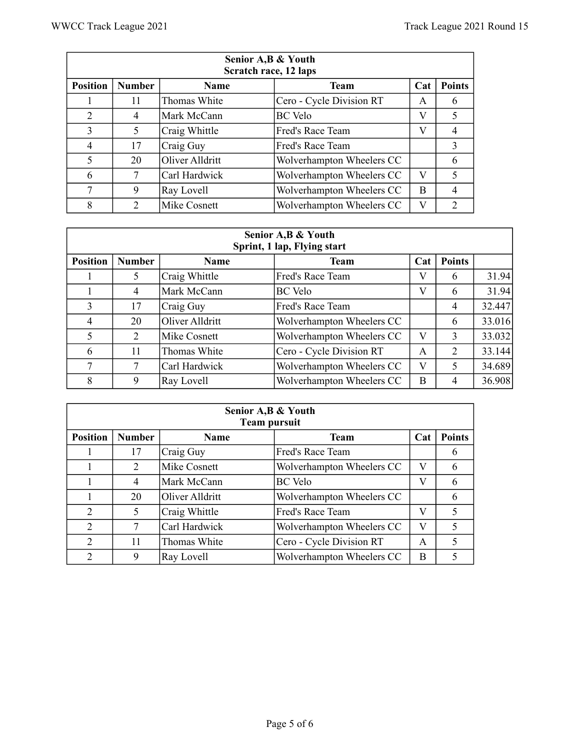| Senior A, B & Youth<br>Scratch race, 12 laps |               |                 |                           |     |               |  |
|----------------------------------------------|---------------|-----------------|---------------------------|-----|---------------|--|
| <b>Position</b>                              | <b>Number</b> | <b>Name</b>     | <b>Team</b>               | Cat | <b>Points</b> |  |
|                                              | 11            | Thomas White    | Cero - Cycle Division RT  | A   | 6             |  |
| 2                                            | 4             | Mark McCann     | <b>BC</b> Velo            | V   | 5             |  |
| 3                                            | 5             | Craig Whittle   | Fred's Race Team          | V   | 4             |  |
| 4                                            | 17            | Craig Guy       | Fred's Race Team          |     | 3             |  |
| 5                                            | 20            | Oliver Alldritt | Wolverhampton Wheelers CC |     | 6             |  |
| 6                                            | 7             | Carl Hardwick   | Wolverhampton Wheelers CC | V   | 5             |  |
| 7                                            | 9             | Ray Lovell      | Wolverhampton Wheelers CC | B   |               |  |
| 8                                            | 2             | Mike Cosnett    | Wolverhampton Wheelers CC | V   | 2             |  |

| Senior A, B & Youth<br>Sprint, 1 lap, Flying start |               |                 |                           |     |                |        |  |
|----------------------------------------------------|---------------|-----------------|---------------------------|-----|----------------|--------|--|
| <b>Position</b>                                    | <b>Number</b> | <b>Name</b>     | <b>Team</b>               | Cat | <b>Points</b>  |        |  |
|                                                    | 5             | Craig Whittle   | Fred's Race Team          | V   | 6              | 31.94  |  |
|                                                    | 4             | Mark McCann     | <b>BC</b> Velo            | V   | 6              | 31.94  |  |
| 3                                                  | 17            | Craig Guy       | Fred's Race Team          |     | $\overline{4}$ | 32.447 |  |
| $\overline{4}$                                     | 20            | Oliver Alldritt | Wolverhampton Wheelers CC |     | 6              | 33.016 |  |
| 5                                                  | 2             | Mike Cosnett    | Wolverhampton Wheelers CC | V   | $\mathbf{3}$   | 33.032 |  |
| 6                                                  | 11            | Thomas White    | Cero - Cycle Division RT  | A   | 2              | 33.144 |  |
| 7                                                  | 7             | Carl Hardwick   | Wolverhampton Wheelers CC | V   | 5              | 34.689 |  |
| 8                                                  | 9             | Ray Lovell      | Wolverhampton Wheelers CC | B   | 4              | 36.908 |  |

| Senior A, B & Youth<br><b>Team pursuit</b> |               |                 |                           |     |               |  |
|--------------------------------------------|---------------|-----------------|---------------------------|-----|---------------|--|
| <b>Position</b>                            | <b>Number</b> | Name            | <b>Team</b>               | Cat | <b>Points</b> |  |
|                                            | 17            | Craig Guy       | Fred's Race Team          |     | 6             |  |
|                                            | 2             | Mike Cosnett    | Wolverhampton Wheelers CC | V   | 6             |  |
|                                            | 4             | Mark McCann     | <b>BC</b> Velo            | V   | 6             |  |
|                                            | 20            | Oliver Alldritt | Wolverhampton Wheelers CC |     | 6             |  |
| 2                                          | 5             | Craig Whittle   | Fred's Race Team          | V   |               |  |
| 2                                          | 7             | Carl Hardwick   | Wolverhampton Wheelers CC | V   |               |  |
| $\mathcal{D}$                              | 11            | Thomas White    | Cero - Cycle Division RT  | A   | 5             |  |
| 2                                          | 9             | Ray Lovell      | Wolverhampton Wheelers CC | B   |               |  |